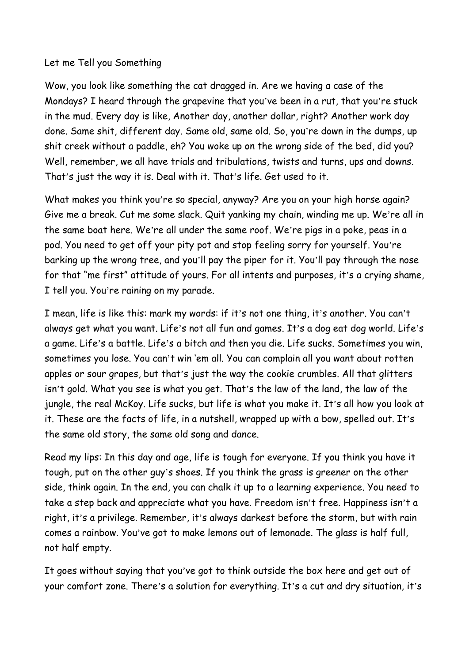## Let me Tell you Something

Wow, you look like something the cat dragged in. Are we having a case of the Mondays? I heard through the grapevine that you've been in a rut, that you're stuck in the mud. Every day is like, Another day, another dollar, right? Another work day done. Same shit, different day. Same old, same old. So, you're down in the dumps, up shit creek without a paddle, eh? You woke up on the wrong side of the bed, did you? Well, remember, we all have trials and tribulations, twists and turns, ups and downs. That's just the way it is. Deal with it. That's life. Get used to it.

What makes you think you're so special, anyway? Are you on your high horse again? Give me a break. Cut me some slack. Quit yanking my chain, winding me up. We're all in the same boat here. We're all under the same roof. We're pigs in a poke, peas in a pod. You need to get off your pity pot and stop feeling sorry for yourself. You're barking up the wrong tree, and you'll pay the piper for it. You'll pay through the nose for that "me first" attitude of yours. For all intents and purposes, it's a crying shame, I tell you. You're raining on my parade.

I mean, life is like this: mark my words: if it's not one thing, it's another. You can't always get what you want. Life's not all fun and games. It's a dog eat dog world. Life's a game. Life's a battle. Life's a bitch and then you die. Life sucks. Sometimes you win, sometimes you lose. You can't win 'em all. You can complain all you want about rotten apples or sour grapes, but that's just the way the cookie crumbles. All that glitters isn't gold. What you see is what you get. That's the law of the land, the law of the jungle, the real McKoy. Life sucks, but life is what you make it. It's all how you look at it. These are the facts of life, in a nutshell, wrapped up with a bow, spelled out. It's the same old story, the same old song and dance.

Read my lips: In this day and age, life is tough for everyone. If you think you have it tough, put on the other guy's shoes. If you think the grass is greener on the other side, think again. In the end, you can chalk it up to a learning experience. You need to take a step back and appreciate what you have. Freedom isn't free. Happiness isn't a right, it's a privilege. Remember, it's always darkest before the storm, but with rain comes a rainbow. You've got to make lemons out of lemonade. The glass is half full, not half empty.

It goes without saying that you've got to think outside the box here and get out of your comfort zone. There's a solution for everything. It's a cut and dry situation, it's